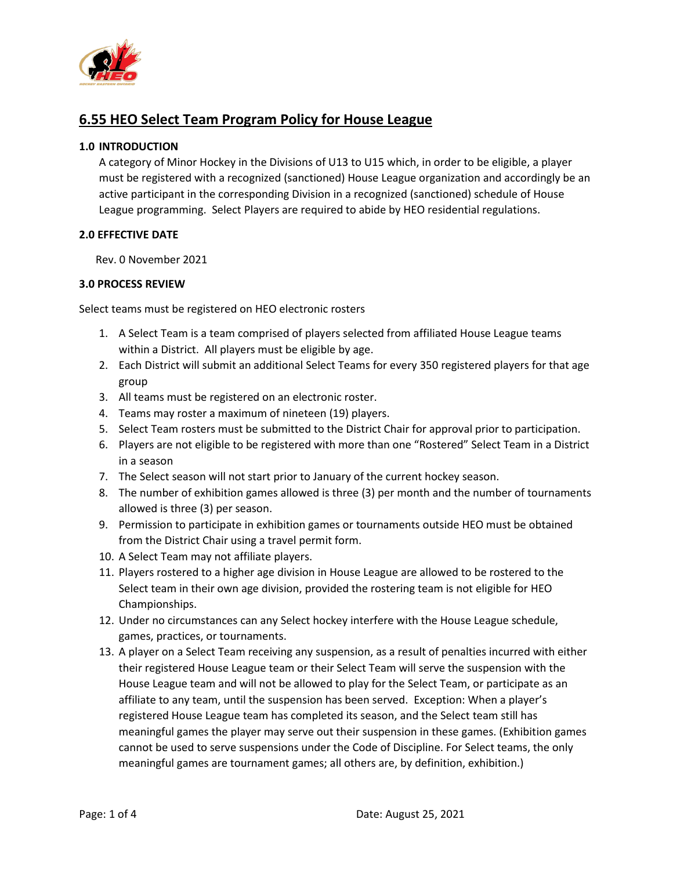

# **6.55 HEO Select Team Program Policy for House League**

## **1.0 INTRODUCTION**

A category of Minor Hockey in the Divisions of U13 to U15 which, in order to be eligible, a player must be registered with a recognized (sanctioned) House League organization and accordingly be an active participant in the corresponding Division in a recognized (sanctioned) schedule of House League programming. Select Players are required to abide by HEO residential regulations.

#### **2.0 EFFECTIVE DATE**

Rev. 0 November 2021

### **3.0 PROCESS REVIEW**

Select teams must be registered on HEO electronic rosters

- 1. A Select Team is a team comprised of players selected from affiliated House League teams within a District. All players must be eligible by age.
- 2. Each District will submit an additional Select Teams for every 350 registered players for that age group
- 3. All teams must be registered on an electronic roster.
- 4. Teams may roster a maximum of nineteen (19) players.
- 5. Select Team rosters must be submitted to the District Chair for approval prior to participation.
- 6. Players are not eligible to be registered with more than one "Rostered" Select Team in a District in a season
- 7. The Select season will not start prior to January of the current hockey season.
- 8. The number of exhibition games allowed is three (3) per month and the number of tournaments allowed is three (3) per season.
- 9. Permission to participate in exhibition games or tournaments outside HEO must be obtained from the District Chair using a travel permit form.
- 10. A Select Team may not affiliate players.
- 11. Players rostered to a higher age division in House League are allowed to be rostered to the Select team in their own age division, provided the rostering team is not eligible for HEO Championships.
- 12. Under no circumstances can any Select hockey interfere with the House League schedule, games, practices, or tournaments.
- 13. A player on a Select Team receiving any suspension, as a result of penalties incurred with either their registered House League team or their Select Team will serve the suspension with the House League team and will not be allowed to play for the Select Team, or participate as an affiliate to any team, until the suspension has been served. Exception: When a player's registered House League team has completed its season, and the Select team still has meaningful games the player may serve out their suspension in these games. (Exhibition games cannot be used to serve suspensions under the Code of Discipline. For Select teams, the only meaningful games are tournament games; all others are, by definition, exhibition.)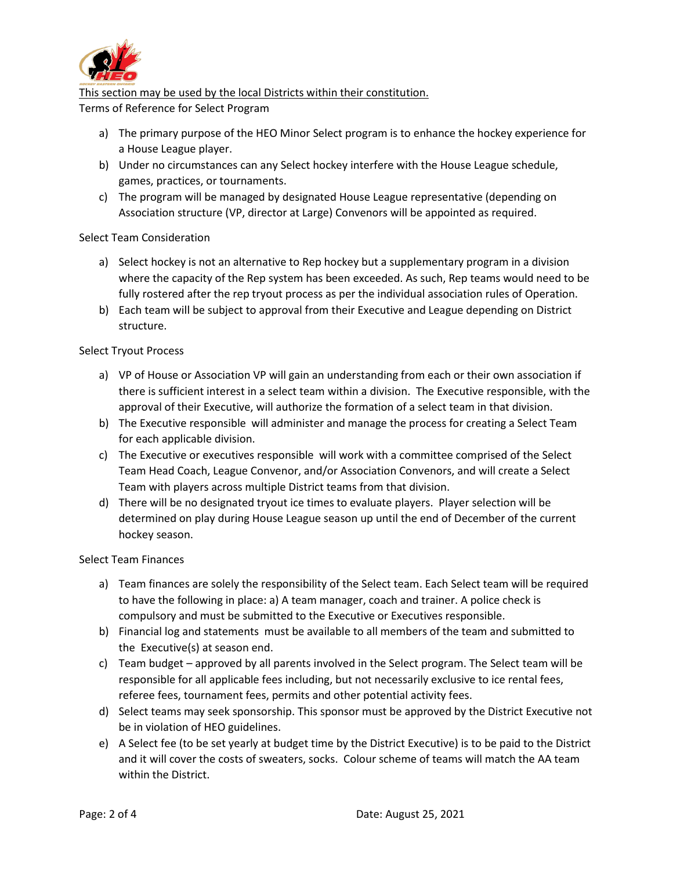

This section may be used by the local Districts within their constitution.

Terms of Reference for Select Program

- a) The primary purpose of the HEO Minor Select program is to enhance the hockey experience for a House League player.
- b) Under no circumstances can any Select hockey interfere with the House League schedule, games, practices, or tournaments.
- c) The program will be managed by designated House League representative (depending on Association structure (VP, director at Large) Convenors will be appointed as required.

# Select Team Consideration

- a) Select hockey is not an alternative to Rep hockey but a supplementary program in a division where the capacity of the Rep system has been exceeded. As such, Rep teams would need to be fully rostered after the rep tryout process as per the individual association rules of Operation.
- b) Each team will be subject to approval from their Executive and League depending on District structure.

# Select Tryout Process

- a) VP of House or Association VP will gain an understanding from each or their own association if there is sufficient interest in a select team within a division. The Executive responsible, with the approval of their Executive, will authorize the formation of a select team in that division.
- b) The Executive responsible will administer and manage the process for creating a Select Team for each applicable division.
- c) The Executive or executives responsible will work with a committee comprised of the Select Team Head Coach, League Convenor, and/or Association Convenors, and will create a Select Team with players across multiple District teams from that division.
- d) There will be no designated tryout ice times to evaluate players. Player selection will be determined on play during House League season up until the end of December of the current hockey season.

### Select Team Finances

- a) Team finances are solely the responsibility of the Select team. Each Select team will be required to have the following in place: a) A team manager, coach and trainer. A police check is compulsory and must be submitted to the Executive or Executives responsible.
- b) Financial log and statements must be available to all members of the team and submitted to the Executive(s) at season end.
- c) Team budget approved by all parents involved in the Select program. The Select team will be responsible for all applicable fees including, but not necessarily exclusive to ice rental fees, referee fees, tournament fees, permits and other potential activity fees.
- d) Select teams may seek sponsorship. This sponsor must be approved by the District Executive not be in violation of HEO guidelines.
- e) A Select fee (to be set yearly at budget time by the District Executive) is to be paid to the District and it will cover the costs of sweaters, socks. Colour scheme of teams will match the AA team within the District.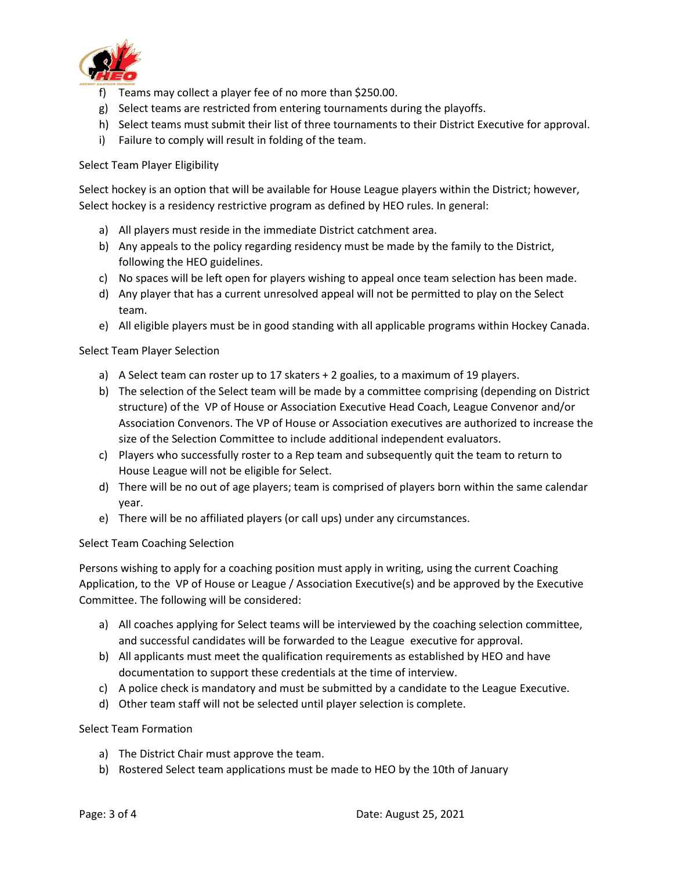

- f) Teams may collect a player fee of no more than \$250.00.
- g) Select teams are restricted from entering tournaments during the playoffs.
- h) Select teams must submit their list of three tournaments to their District Executive for approval.
- i) Failure to comply will result in folding of the team.

### Select Team Player Eligibility

Select hockey is an option that will be available for House League players within the District; however, Select hockey is a residency restrictive program as defined by HEO rules. In general:

- a) All players must reside in the immediate District catchment area.
- b) Any appeals to the policy regarding residency must be made by the family to the District, following the HEO guidelines.
- c) No spaces will be left open for players wishing to appeal once team selection has been made.
- d) Any player that has a current unresolved appeal will not be permitted to play on the Select team.
- e) All eligible players must be in good standing with all applicable programs within Hockey Canada.

#### Select Team Player Selection

- a) A Select team can roster up to 17 skaters + 2 goalies, to a maximum of 19 players.
- b) The selection of the Select team will be made by a committee comprising (depending on District structure) of the VP of House or Association Executive Head Coach, League Convenor and/or Association Convenors. The VP of House or Association executives are authorized to increase the size of the Selection Committee to include additional independent evaluators.
- c) Players who successfully roster to a Rep team and subsequently quit the team to return to House League will not be eligible for Select.
- d) There will be no out of age players; team is comprised of players born within the same calendar year.
- e) There will be no affiliated players (or call ups) under any circumstances.

#### Select Team Coaching Selection

Persons wishing to apply for a coaching position must apply in writing, using the current Coaching Application, to the VP of House or League / Association Executive(s) and be approved by the Executive Committee. The following will be considered:

- a) All coaches applying for Select teams will be interviewed by the coaching selection committee, and successful candidates will be forwarded to the League executive for approval.
- b) All applicants must meet the qualification requirements as established by HEO and have documentation to support these credentials at the time of interview.
- c) A police check is mandatory and must be submitted by a candidate to the League Executive.
- d) Other team staff will not be selected until player selection is complete.

#### Select Team Formation

- a) The District Chair must approve the team.
- b) Rostered Select team applications must be made to HEO by the 10th of January